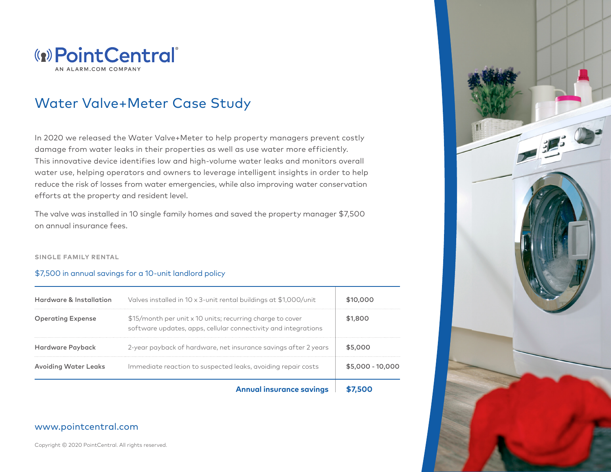

# Water Valve+Meter Case Study

In 2020 we released the Water Valve+Meter to help property managers prevent costly damage from water leaks in their properties as well as use water more efficiently. This innovative device identifies low and high-volume water leaks and monitors overall water use, helping operators and owners to leverage intelligent insights in order to help reduce the risk of losses from water emergencies, while also improving water conservation efforts at the property and resident level.

The valve was installed in 10 single family homes and saved the property manager \$7,500 on annual insurance fees.

#### **SINGLE FAMILY RENTAL**

### \$7,500 in annual savings for a 10-unit landlord policy

|                             | <b>Annual insurance savings</b>                                                                                             |                  |
|-----------------------------|-----------------------------------------------------------------------------------------------------------------------------|------------------|
| <b>Avoiding Water Leaks</b> | Immediate reaction to suspected leaks, avoiding repair costs                                                                | \$5,000 - 10,000 |
| Hardware Payback            | 2-year payback of hardware, net insurance savings after 2 years                                                             | \$5,000          |
| <b>Operating Expense</b>    | \$15/month per unit x 10 units; recurring charge to cover<br>software updates, apps, cellular connectivity and integrations | \$1,800          |
| Hardware & Installation     | Valves installed in 10 x 3-unit rental buildings at \$1,000/unit                                                            | \$10,000         |

## www.pointcentral.com

Copyright © 2020 PointCentral. All rights reserved.